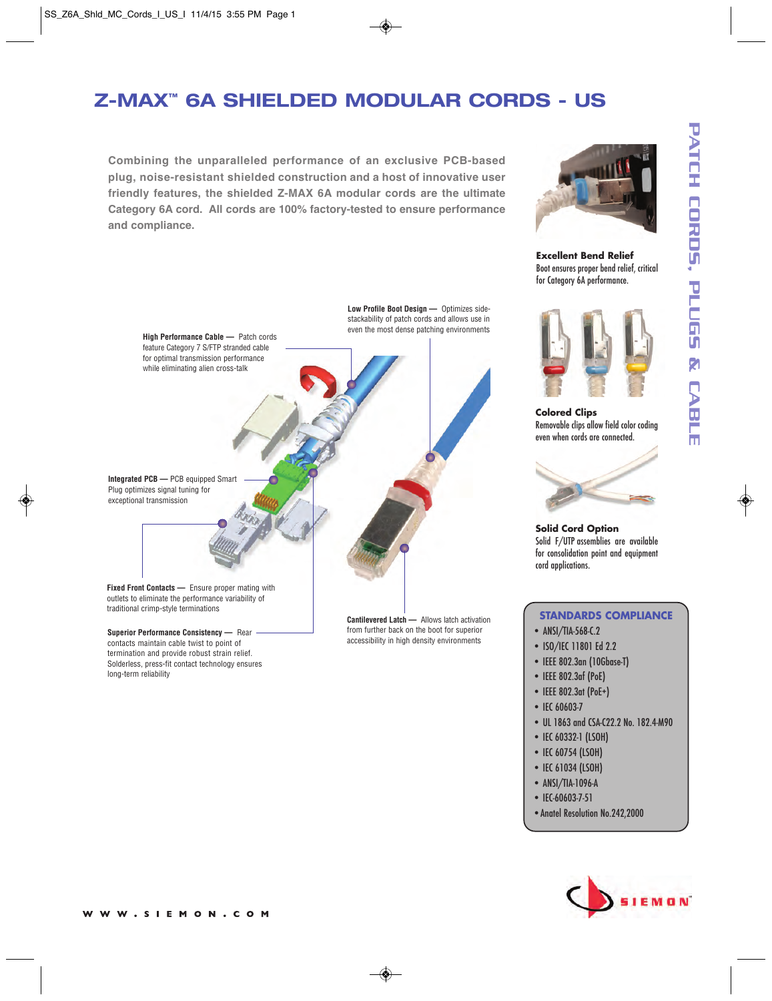## **Z-MAX ™ 6A SHIELDED MODULAR CORDS - US**

**Combining the unparalleled performance of an exclusive PCB-based plug, noise-resistant shielded construction and a host of innovative user friendly features, the shielded Z-MAX 6A modular cords are the ultimate Category 6A cord. All cords are 100% factory-tested to ensure performance and compliance.**



**Excellent Bend Relief** Boot ensures proper bend relief, critical for Category 6A performance.



**Colored Clips** Removable clips allow field color coding even when cords are connected.



**Solid Cord Option** Solid F/UTP assemblies are available for consolidation point and equipment cord applications.

#### **STANDARDS COMPLIANCE**

- ANSI/TIA-568-C.2
- ISO/IEC 11801 Ed 2.2
- IEEE 802.3an (10Gbase-T)
- IEEE 802.3af (PoE)
- IEEE 802.3at (PoE+)
- IEC 60603-7
- UL 1863 and CSA-C22.2 No. 182.4-M90
- IEC 60332-1 (LSOH)
- IEC 60754 (LSOH)
- IEC 61034 (LSOH)
- ANSI/TIA-1096-A
- IEC-60603-7-51
- •Anatel Resolution No.242,2000



**Integrated PCB —** PCB equipped Smart Plug optimizes signal tuning for exceptional transmission

**High Performance Cable —** Patch cords feature Category 7 S/FTP stranded cable for optimal transmission performance while eliminating alien cross-talk

**Fixed Front Contacts —** Ensure proper mating with outlets to eliminate the performance variability of traditional crimp-style terminations

**Superior Performance Consistency —** Rear contacts maintain cable twist to point of termination and provide robust strain relief. Solderless, press-fit contact technology ensures long-term reliability

**Cantilevered Latch —** Allows latch activation from further back on the boot for superior accessibility in high density environments

**Low Profile Boot Design —** Optimizes sidestackability of patch cords and allows use in even the most dense patching environments